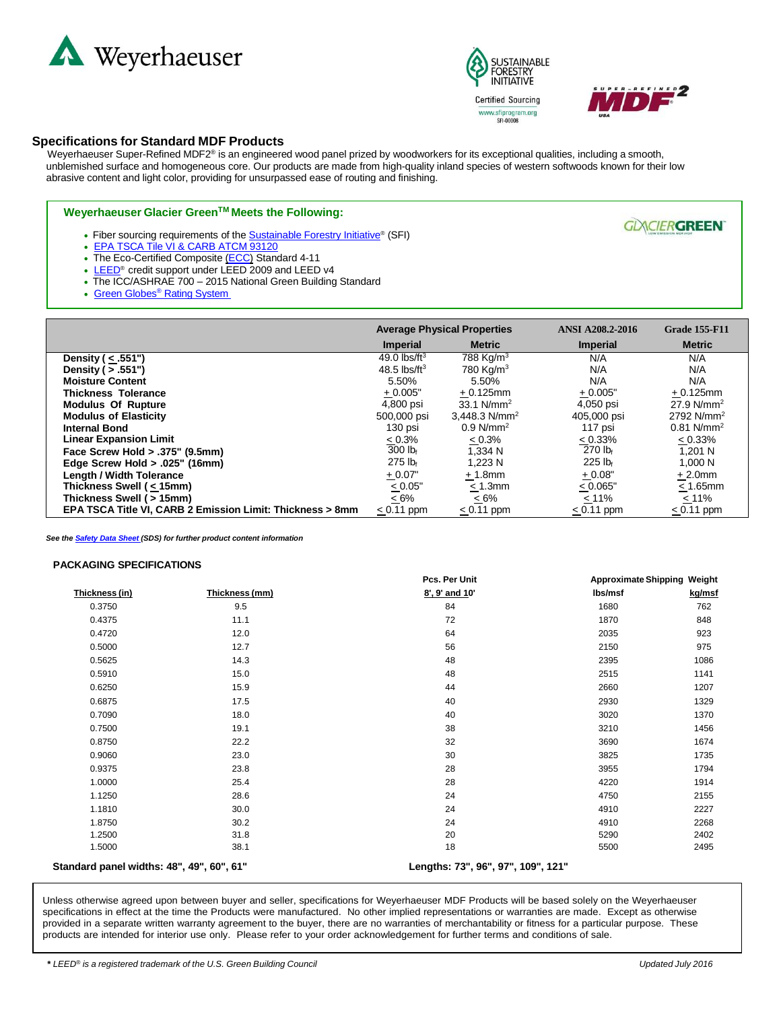





**GLANCIERGREEN** 

## **Specifications for Standard MDF Products**

Weyerhaeuser Super-Refined MDF2® is an engineered wood panel prized by woodworkers for its exceptional qualities, including a smooth, unblemished surface and homogeneous core. Our products are made from high-quality inland species of western softwoods known for their low abrasive content and light color, providing for unsurpassed ease of routing and finishing.

## **Weyerhaeuser Glacier GreenTM Meets the Following:**

- Fiber sourcing requirements of the **[Sustainable](http://www.plumcreek.com/wood-products/medium-density-fiberboard/certified-green-products/sfi-sustainable-forestry-initiative) Forestry Initiative®** (SFI)
- EPA TSCA Tile VI & CARB ATCM 93120
- The Eco-Certified Composite [\(ECC\)](http://www.plumcreek.com/wood-products/medium-density-fiberboard/certified-green-products/eco-certified-composite-ecc-standard-4-11) Standard 4-11
- [LEED](http://www.plumcreek.com/wood-products/medium-density-fiberboard/certified-green-products/leed-us-green-building-council)<sup>®</sup> credit support under LEED 2009 and LEED v4
- The ICC/ASHRAE 700 2015 National Green Building Standard
- Green Globes<sup>®</sup> [Rating System](http://www.plumcreek.com/wood-products/medium-density-fiberboard/certified-green-products/green-globes-system-green-building-initiative)

|                                                           | <b>Average Physical Properties</b> |                         | <b>ANSI A208.2-2016</b> | <b>Grade 155-F11</b>     |
|-----------------------------------------------------------|------------------------------------|-------------------------|-------------------------|--------------------------|
|                                                           | <b>Imperial</b>                    | <b>Metric</b>           | <b>Imperial</b>         | <b>Metric</b>            |
| Density ( < .551")                                        | 49.0 $\text{lbs/ft}^3$             | 788 Kg/m <sup>3</sup>   | N/A                     | N/A                      |
| Density ( $> .551$ ")                                     | 48.5 $\text{lbs/ft}^3$             | 780 Kg/m <sup>3</sup>   | N/A                     | N/A                      |
| <b>Moisture Content</b>                                   | 5.50%                              | 5.50%                   | N/A                     | N/A                      |
| <b>Thickness Tolerance</b>                                | $+0.005"$                          | $+0.125$ mm             | $+0.005"$               | $+0.125$ mm              |
| <b>Modulus Of Rupture</b>                                 | 4,800 psi                          | 33.1 $N/mm^2$           | 4,050 psi               | 27.9 $N/mm^2$            |
| <b>Modulus of Elasticity</b>                              | 500,000 psi                        | 3,448.3 $N/mm^2$        | 405,000 psi             | 2792 $N/mm^2$            |
| <b>Internal Bond</b>                                      | 130 psi                            | $0.9$ N/mm <sup>2</sup> | 117 psi                 | $0.81$ N/mm <sup>2</sup> |
| <b>Linear Expansion Limit</b>                             | $< 0.3\%$                          | < 0.3%                  | < 0.33%                 | $< 0.33\%$               |
| Face Screw Hold > .375" (9.5mm)                           | $300$ lb <sub>f</sub>              | 1.334 N                 | $270$ lb <sub>f</sub>   | 1.201 N                  |
| Edge Screw Hold $> .025$ " (16mm)                         | $275$ lb <sub>f</sub>              | 1.223 N                 | $225$ lb <sub>f</sub>   | 1,000 N                  |
| <b>Length / Width Tolerance</b>                           | $+0.07"$                           | $+1.8$ mm               | $+0.08"$                | $+2.0$ mm                |
| Thickness Swell (< 15mm)                                  | $\leq 0.05"$                       | $< 1.3$ mm              | < 0.065"                | $< 1.65$ mm              |
| Thickness Swell (> 15mm)                                  | $\leq 6\%$                         | $\leq 6\%$              | <u>&lt;</u> 11%         | $\leq$ 11%               |
| EPA TSCA Title VI, CARB 2 Emission Limit: Thickness > 8mm | $< 0.11$ ppm                       | $< 0.11$ ppm            | $< 0.11$ ppm            | $< 0.11$ ppm             |

*See the [Safety](http://www.plumcreek.com/Portals/0/downloads/msds/Glacier%20Green%20MDF%20HDF%20LDF.pdf) Data Sheet (SDS) for further product content information*

## **PACKAGING SPECIFICATIONS**

|                                           |                | Pcs. Per Unit                      | <b>Approximate Shipping Weight</b> |        |
|-------------------------------------------|----------------|------------------------------------|------------------------------------|--------|
| Thickness (in)                            | Thickness (mm) | 8', 9' and 10'                     | Ibs/msf                            | kg/msf |
| 0.3750                                    | 9.5            | 84                                 | 1680                               | 762    |
| 0.4375                                    | 11.1           | 72                                 | 1870                               | 848    |
| 0.4720                                    | 12.0           | 64                                 | 2035                               | 923    |
| 0.5000                                    | 12.7           | 56                                 | 2150                               | 975    |
| 0.5625                                    | 14.3           | 48                                 | 2395                               | 1086   |
| 0.5910                                    | 15.0           | 48                                 | 2515                               | 1141   |
| 0.6250                                    | 15.9           | 44                                 | 2660                               | 1207   |
| 0.6875                                    | 17.5           | 40                                 | 2930                               | 1329   |
| 0.7090                                    | 18.0           | 40                                 | 3020                               | 1370   |
| 0.7500                                    | 19.1           | 38                                 | 3210                               | 1456   |
| 0.8750                                    | 22.2           | 32                                 | 3690                               | 1674   |
| 0.9060                                    | 23.0           | 30                                 | 3825                               | 1735   |
| 0.9375                                    | 23.8           | 28                                 | 3955                               | 1794   |
| 1.0000                                    | 25.4           | 28                                 | 4220                               | 1914   |
| 1.1250                                    | 28.6           | 24                                 | 4750                               | 2155   |
| 1.1810                                    | 30.0           | 24                                 | 4910                               | 2227   |
| 1.8750                                    | 30.2           | 24                                 | 4910                               | 2268   |
| 1.2500                                    | 31.8           | 20                                 | 5290                               | 2402   |
| 1.5000                                    | 38.1           | 18                                 | 5500                               | 2495   |
| Standard panel widths: 48", 49", 60", 61" |                | Lengths: 73", 96", 97", 109", 121" |                                    |        |

Unless otherwise agreed upon between buyer and seller, specifications for Weyerhaeuser MDF Products will be based solely on the Weyerhaeuser specifications in effect at the time the Products were manufactured. No other implied representations or warranties are made. Except as otherwise provided in a separate written warranty agreement to the buyer, there are no warranties of merchantability or fitness for a particular purpose. These products are intended for interior use only. Please refer to your order acknowledgement for further terms and conditions of sale.